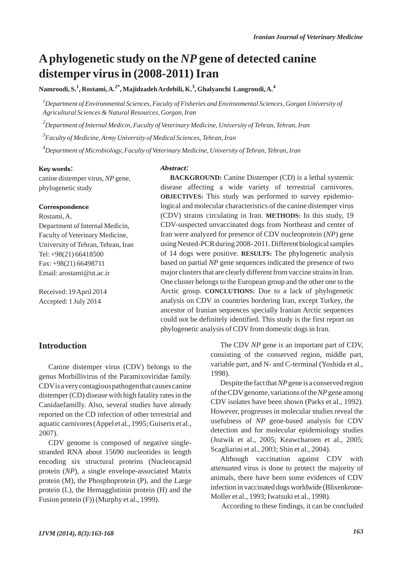## **Aphylogenetic study on the** *NP* **gene of detected canine distemper virus in (2008-2011) Iran**

**Namroodi, S.<sup>1</sup> , Rostami, A.2\*, Majidzadeh Ardebili, K.3 , Ghalyanchi Langroudi, A.4**

*1 Department of Environmental Sciences, Faculty of Fisheries and Environmental Sciences, Gorgan University of Agricultural Sciences & Natural Resources, Gorgan, Iran*

*2 Department of Internal Medicin, Faculty of Veterinary Medicine, University of Tehran, Tehran, Iran*

*3 Faculty of Medicine, Army University of Medical Sciences, Tehran, Iran*

*4 Department of Microbiology, Faculty of Veterinary Medicine, University of Tehran, Tehran, Iran*

#### Key words:

canine distemper virus, *NP* gene, phylogenetic study

#### **Correspondence**

Rostami, A. Department of Internal Medicin, Faculty of Veterinary Medicine, University of Tehran, Tehran, Iran Tel: +98(21) 66418500 Fax: +98(21) 66498711 Email: arostami@ut.ac.ir

Received: 19 April 2014 Accepted: 1 July 2014

#### **Introduction**

Canine distemper virus (CDV) belongs to the genus Morbillivirus of the Paramixoviridae family. CDVis a very contagious pathogen that causes canine distemper (CD) disease with high fatality rates in the Canidaefamilly. Also, several studies have already reported on the CD infection of other terrestrial and aquatic carnivores (Appel et al., 1995; Guiserix et al., 2007).

CDV genome is composed of negative singlestranded RNA about 15690 nucleotides in length encoding six structural proteins (Nucleocapsid protein (*NP*), a single envelope-associated Matrix protein (M), the Phosphoprotein (P), and the Large protein (L), the Hemagglutinin protein (H) and the Fusion protein (F)) (Murphy et al., 1999).

#### Abstract:

**BACKGROUND:** Canine Distemper (CD) is a lethal systemic disease affecting a wide variety of terrestrial carnivores. **OBJECTIVES:** This study was performed to survey epidemiological and molecular characteristics of the canine distemper virus (CDV) strains circulating in Iran. **METHODS:** In this study, 19 CDV-suspected unvaccinated dogs from Northeast and center of Iran were analyzed for presence of CDV nucleoprotein (*NP*) gene using Nested-PCR during 2008- 2011. Different biological samples of 14 dogs were positive. **RESULTS:** The phylogenetic analysis based on partial *NP* gene sequences indicated the presence of two major clusters that are clearly different from vaccine strains in Iran. One cluster belongs to the European group and the other one to the Arctic group. **CONCLUTIONS:** Due to a lack of phylogenetic analysis on CDV in countries bordering Iran, except Turkey, the ancestor of Iranian sequences specially Iranian Arctic sequences could not be definitely identified. This study is the first report on phylogenetic analysis of CDV from domestic dogs in Iran.

> The CDV *NP* gene is an important part of CDV, consisting of the conserved region, middle part, variable part, and N- and C-terminal (Yoshida et al., 1998).

> Despite the fact that *NP* gene is a conserved region of the CDVgenome, variations of the *NP*gene among CDV isolates have been shown (Parks et al., 1992). However, progresses in molecular studies reveal the usefulness of *NP* gene-based analysis for CDV detection and for molecular epidemiology studies (Jozwik et al., 2005; Keawcharoen et al., 2005; Scagliarini et al., 2003; Shin et al., 2004).

> Although vaccination against CDV with attenuated virus is done to protect the majority of animals, there have been some evidences of CDV infection in vaccinated dogs worldwide (Blixenkrone-Moller et al., 1993; Iwatsuki et al., 1998).

According to these findings, it can be concluded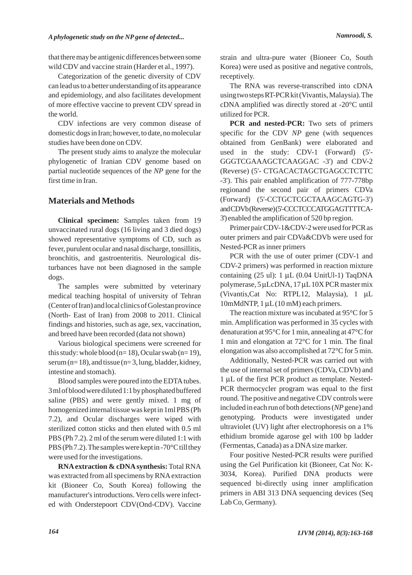that there may be antigenic differences between some wild CDV and vaccine strain (Harder et al., 1997).

Categorization of the genetic diversity of CDV can lead us to a better understanding of its appearance and epidemiology, and also facilitates development of more effective vaccine to prevent CDV spread in the world.

CDV infections are very common disease of domestic dogs in Iran; however, to date, no molecular studies have been done on CDV.

The present study aims to analyze the molecular phylogenetic of Iranian CDV genome based on partial nucleotide sequences of the *NP* gene for the first time in Iran.

### **Materials and Methods**

**Clinical specimen:** Samples taken from 19 unvaccinated rural dogs (16 living and 3 died dogs) showed representative symptoms of CD, such as fever, purulent ocular and nasal discharge, tonsillitis, bronchitis, and gastroenteritis. Neurological disturbances have not been diagnosed in the sample dogs.

The samples were submitted by veterinary medical teaching hospital of university of Tehran (Center of Iran) and local clinics of Golestan province (North- East of Iran) from 2008 to 2011. Clinical findings and histories, such as age, sex, vaccination, and breed have been recorded (data not shown)

Various biological specimens were screened for this study: whole blood ( $n=18$ ), Ocular swab ( $n=19$ ), serum ( $n= 18$ ), and tissue ( $n=3$ , lung, bladder, kidney, intestine and stomach).

Blood samples were poured into the EDTA tubes. 3 ml of blood were diluted 1:1 by phosphated buffered saline (PBS) and were gently mixed. 1 mg of homogenized internal tissue was kept in 1ml PBS (Ph 7.2), and Ocular discharges were wiped with sterilized cotton sticks and then eluted with 0.5 ml PBS (Ph 7.2). 2 ml of the serum were diluted 1:1 with PBS (Ph 7.2). The samples were kept in -70°C till they were used for the investigations.

**RNA extraction & cDNA synthesis:** Total RNA was extracted from all specimens by RNAextraction kit (Bioneer Co, South Korea) following the manufacturer's introductions. Vero cells were infected with Onderstepoort CDV(Ond-CDV). Vaccine

strain and ultra-pure water (Bioneer Co, South Korea) were used as positive and negative controls, receptively.

The RNA was reverse-transcribed into cDNA using two steps RT-PCR kit (Vivantis, Malaysia). The cDNA amplified was directly stored at -20°C until utilized for PCR.

**PCR and nested-PCR:** Two sets of primers specific for the CDV *NP* gene (with sequences obtained from GenBank) were elaborated and used in the study: CDV-1 (Forward) (5'- GGGTCGAAAGCTCAAGGAC -3') and CDV-2 (Reverse) (5'- CTGACACTAGCTGAGCCTCTTC -3'). This pair enabled amplification of 777-778bp regionand the second pair of primers CDVa (Forward) (5'-CCTGCTCGCTAAAGCAGTG-3') and CDVb (Reverse) (5'-CCCTCCCATGGAGTTTTCA-3') enabled the amplification of 520 bp region.

Primer pair CDV-1&CDV-2 were used for PCR as outer primers and pair CDVa&CDVb were used for Nested-PCR as inner primers

PCR with the use of outer primer (CDV-1 and CDV-2 primers) was performed in reaction mixture containing  $(25 \text{ ul})$ : 1  $\mu$ L  $(0.04 \text{ UnitUl-1})$  TaqDNA polymerase, 5 μLcDNA, 17 μL10X PCR master mix (Vivantis,Cat No: RTPL12, Malaysia), 1 μL 10mMdNTP, 1 μL (10 mM) each primers.

The reaction mixture was incubated at 95°C for 5 min. Amplification was performed in 35 cycles with denaturation at 95°C for 1 min, annealing at 47°C for 1 min and elongation at 72°C for 1 min. The final elongation was also accomplished at 72°C for 5 min.

Additionally, Nested-PCR was carried out with the use of internal set of primers (CDVa, CDVb) and 1 μL of the first PCR product as template. Nested-PCR thermocycler program was equal to the first round. The positive and negative CDV controls were included in each run of both detections (*NP*gene) and genotyping. Products were investigated under ultraviolet (UV) light after electrophoresis on a 1% ethidium bromide agarose gel with 100 bp ladder (Fermentas, Canada) as a DNAsize marker.

Four positive Nested-PCR results were purified using the Gel Purification kit (Bioneer, Cat No: K-3034, Korea). Purified DNA products were sequenced bi-directly using inner amplification primers in ABI 313 DNA sequencing devices (Seq Lab Co, Germany).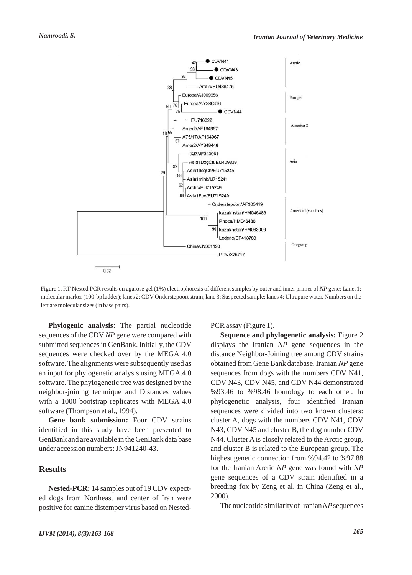

Figure 1. RT-Nested PCR results on agarose gel (1%) electrophoresis of different samples by outer and inner primer of *NP* gene: Lanes1: molecular marker (100-bp ladder); lanes 2: CDV Onderstepoort strain; lane 3: Suspected sample; lanes 4: Ultrapure water. Numbers on the left are molecular sizes (in base pairs).

**Phylogenic analysis:** The partial nucleotide sequences of the CDV *NP* gene were compared with submitted sequences in GenBank. Initially, the CDV sequences were checked over by the MEGA 4.0 software. The alignments were subsequently used as an input for phylogenetic analysis using MEGA.4.0 software. The phylogenetic tree was designed by the neighbor-joining technique and Distances values with a 1000 bootstrap replicates with MEGA 4.0 software (Thompson et al., 1994).

**Gene bank submission:** Four CDV strains identified in this study have been presented to GenBank and are available in the GenBank data base under accession numbers: JN941240-43.

#### **Results**

**Nested-PCR:** 14 samples out of 19 CDV expected dogs from Northeast and center of Iran were positive for canine distemper virus based on NestedPCR assay (Figure 1).

**Sequence and phylogenetic analysis:** Figure 2 displays the Iranian *NP* gene sequences in the distance Neighbor-Joining tree among CDV strains obtained from Gene Bank database. Iranian *NP* gene sequences from dogs with the numbers CDV N41, CDV N43, CDV N45, and CDV N44 demonstrated %93.46 to %98.46 homology to each other. In phylogenetic analysis, four identified Iranian sequences were divided into two known clusters: cluster A, dogs with the numbers CDV N41, CDV N43, CDV N45 and cluster B, the dog number CDV N44. Cluster A is closely related to the Arctic group, and cluster B is related to the European group. The highest genetic connection from %94.42 to %97.88 for the Iranian Arctic *NP* gene was found with *NP* gene sequences of a CDV strain identified in a breeding fox by Zeng et al. in China (Zeng et al., 2000).

The nucleotide similarity of Iranian *NP*sequences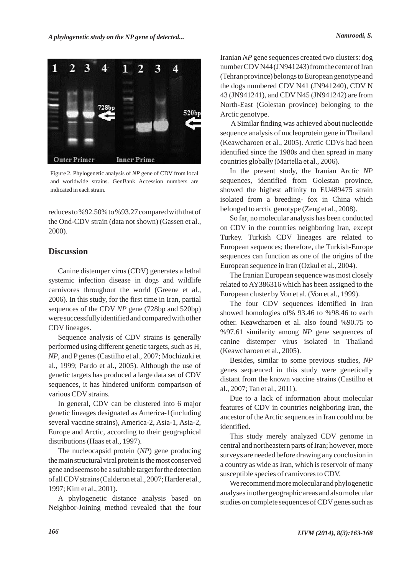

Figure 2. Phylogenetic analysis of *NP* gene of CDV from local and worldwide strains. GenBank Accession numbers are indicated in each strain.

reduces to %92.50% to %93.27 compared with that of the Ond-CDV strain (data not shown) (Gassen et al., 2000).

#### **Discussion**

Canine distemper virus (CDV) generates a lethal systemic infection disease in dogs and wildlife carnivores throughout the world (Greene et al., 2006). In this study, for the first time in Iran, partial sequences of the CDV *NP* gene (728bp and 520bp) were successfully identified and compared with other CDV lineages.

Sequence analysis of CDV strains is generally performed using different genetic targets, such as H, *NP*, and P genes (Castilho et al., 2007; Mochizuki et al., 1999; Pardo et al., 2005). Although the use of genetic targets has produced a large data set of CDV sequences, it has hindered uniform comparison of various CDV strains.

In general, CDV can be clustered into 6 major genetic lineages designated as America-1(including several vaccine strains), America-2, Asia-1, Asia-2, Europe and Arctic, according to their geographical distributions (Haas et al., 1997).

The nucleocapsid protein (*NP*) gene producing the main structural viral protein is the most conserved gene and seems to be a suitable target for the detection of all CDV strains (Calderon et al., 2007; Harder et al., 1997; Kim et al., 2001).

A phylogenetic distance analysis based on Neighbor-Joining method revealed that the four Iranian *NP* gene sequences created two clusters: dog number CDVN44 (JN941243) from the center of Iran (Tehran province) belongs to European genotype and the dogs numbered CDV N41 (JN941240), CDV N 43 (JN941241), and CDV N45 (JN941242) are from North-East (Golestan province) belonging to the Arctic genotype.

A Similar finding was achieved about nucleotide sequence analysis of nucleoprotein gene in Thailand (Keawcharoen et al., 2005). Arctic CDVs had been identified since the 1980s and then spread in many countries globally (Martella et al., 2006).

In the present study, the Iranian Arctic *NP* sequences, identified from Golestan province, showed the highest affinity to EU489475 strain isolated from a breeding- fox in China which belonged to arctic genotype (Zeng et al., 2008).

So far, no molecular analysis has been conducted on CDV in the countries neighboring Iran, except Turkey. Turkish CDV lineages are related to European sequences; therefore, the Turkish-Europe sequences can function as one of the origins of the European sequence in Iran (Ozkul et al., 2004).

The Iranian European sequence was most closely related to AY386316 which has been assigned to the European cluster by Von et al. (Von et al., 1999).

The four CDV sequences identified in Iran showed homologies of% 93.46 to %98.46 to each other. Keawcharoen et al. also found %90.75 to %97.61 similarity among *NP* gene sequences of canine distemper virus isolated in Thailand (Keawcharoen et al., 2005).

Besides, similar to some previous studies, *NP* genes sequenced in this study were genetically distant from the known vaccine strains (Castilho et al., 2007; Tan et al., 2011).

Due to a lack of information about molecular features of CDV in countries neighboring Iran, the ancestor of the Arctic sequences in Iran could not be identified.

This study merely analyzed CDV genome in central and northeastern parts of Iran; however, more surveys are needed before drawing any conclusion in a country as wide as Iran, which is reservoir of many susceptible species of carnivores to CDV.

We recommend more molecular and phylogenetic analyses in other geographic areas and also molecular studies on complete sequences of CDV genes such as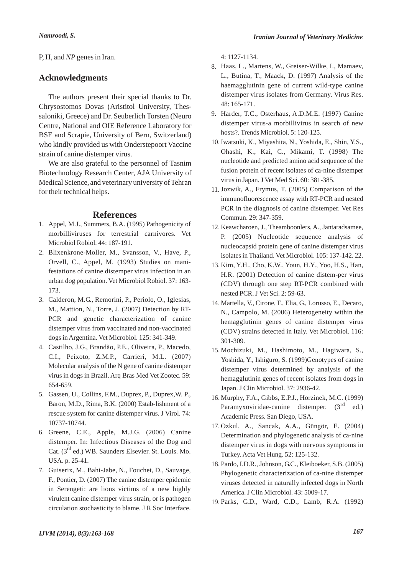## **Acknowledgments**

The authors present their special thanks to Dr. Chrysostomos Dovas (Aristitol University, Thessaloniki, Greece) and Dr. Seuberlich Torsten (Neuro Centre, National and OIE Reference Laboratory for BSE and Scrapie, University of Bern, Switzerland) who kindly provided us with Onderstepoort Vaccine strain of canine distemper virus.

We are also grateful to the personnel of Tasnim Biotechnology Research Center, AJA University of Medical Science, and veterinary university of Tehran for their technical helps.

## **References**

- 1. Appel, M.J., Summers, B.A. (1995) Pathogenicity of morbilliviruses for terrestrial carnivores. Vet Microbiol Robiol. 44: 187-191.
- Blixenkrone-Moller, M., Svansson, V., Have, P., 2. Orvell, C., Appel, M. (1993) Studies on manifestations of canine distemper virus infection in an urban dog population. Vet Microbiol Robiol. 37: 163- 173.
- Calderon, M.G., Remorini, P., Periolo, O., Iglesias, 3. M., Mattion, N., Torre, J. (2007) Detection by RT-PCR and genetic characterization of canine distemper virus from vaccinated and non-vaccinated dogs in Argentina. Vet Microbiol. 125: 341-349.
- Castilho, J.G., Brandão, P.E., Oliveira, P., Macedo, 4. C.I., Peixoto, Z.M.P., Carrieri, M.L. (2007) Molecular analysis of the N gene of canine distemper virus in dogs in Brazil. Arq Bras Med Vet Zootec. 59: 654-659.
- 5. Gassen, U., Collins, F.M., Duprex, P., Duprex, W. P., Baron, M.D., Rima, B.K. (2000) Estab-lishment of a rescue system for canine distemper virus. J Virol. 74: 10737-10744.
- 6. Greene, C.E., Apple, M.J.G. (2006) Canine distemper. In: Infectious Diseases of the Dog and Cat.  $(3<sup>rd</sup>$  ed.) WB. Saunders Elsevier. St. Louis. Mo. USA. p. 25-41.
- 7. Guiserix, M., Bahi-Jabe, N., Fouchet, D., Sauvage, F., Pontier, D. (2007) The canine distemper epidemic in Serengeti: are lions victims of a new highly virulent canine distemper virus strain, or is pathogen circulation stochasticity to blame. J R Soc Interface.

4: 1127-1134.

- Haas, L., Martens, W., Greiser-Wilke, I., Mamaev, 8. L., Butina, T., Maack, D. (1997) Analysis of the haemagglutinin gene of current wild-type canine distemper virus isolates from Germany. Virus Res. 48: 165-171.
- Harder, T.C., Osterhaus, A.D.M.E. (1997) Canine 9. distemper virus-a morbillivirus in search of new hosts?. Trends Microbiol. 5: 120-125.
- 10. Iwatsuki, K., Miyashita, N., Yoshida, E., Shin, Y.S., Ohashi, K., Kai, C., Mikami, T. (1998) The nucleotide and predicted amino acid sequence of the fusion protein of recent isolates of ca-nine distemper virus in Japan. J Vet Med Sci. 60: 381-385.
- 11. Jozwik, A., Frymus, T. (2005) Comparison of the immunofluorescence assay with RT-PCR and nested PCR in the diagnosis of canine distemper. Vet Res Commun. 29: 347-359.
- 12. Keawcharoen, J., Theamboonlers, A., Jantaradsamee, P. (2005) Nucleotide sequence analysis of nucleocapsid protein gene of canine distemper virus isolates in Thailand. Vet Microbiol. 105: 137-142. 22.
- 13. Kim, Y.H., Cho, K.W., Youn, H.Y., Yoo, H.S., Han, H.R. (2001) Detection of canine distem-per virus (CDV) through one step RT-PCR combined with nested PCR. J Vet Sci. 2: 59-63.
- Martella, V., Cirone, F., Elia, G., Lorusso, E., Decaro, 14. N., Campolo, M. (2006) Heterogeneity within the hemagglutinin genes of canine distemper virus (CDV) strains detected in Italy. Vet Microbiol. 116: 301-309.
- 15. Mochizuki, M., Hashimoto, M., Hagiwara, S., Yoshida, Y., Ishiguro, S. (1999)Genotypes of canine distemper virus determined by analysis of the hemagglutinin genes of recent isolates from dogs in Japan. J Clin Microbiol. 37: 2936-42.
- Murphy, F.A., Gibbs, E.P.J., Horzinek, M.C. (1999) 16. Paramyxoviridae-canine distemper.  $(3^{rd}$  ed.) Academic Press. San Diego, USA.
- 17. Ozkul, A., Sancak, A.A., Güngör, E. (2004) Determination and phylogenetic analysis of ca-nine distemper virus in dogs with nervous symptoms in Turkey. Acta Vet Hung. 52: 125-132.
- 18. Pardo, I.D.R., Johnson, G.C., Kleiboeker, S.B. (2005) Phylogenetic characterization of ca-nine distemper viruses detected in naturally infected dogs in North America. J Clin Microbiol. 43: 5009-17.
- 19. Parks, G.D., Ward, C.D., Lamb, R.A. (1992)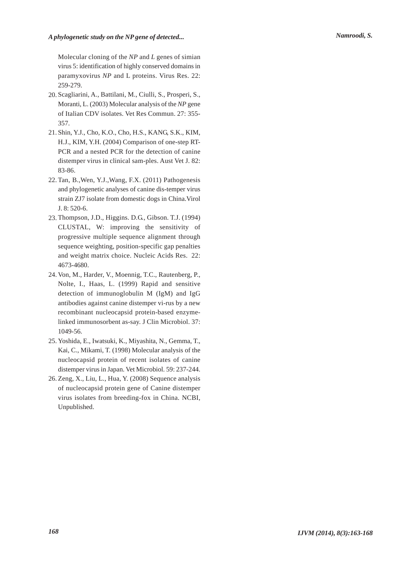## *A phylogenetic study on the NP gene of detected... Namroodi, S.*

Molecular cloning of the *NP* and *L* genes of simian virus 5: identification of highly conserved domains in paramyxovirus *NP* and L proteins. Virus Res. 22: 259-279.

- 20. Scagliarini, A., Battilani, M., Ciulli, S., Prosperi, S., Moranti, L. (2003) Molecular analysis of the *NP* gene of Italian CDV isolates. Vet Res Commun. 27: 355- 357.
- 21. Shin, Y.J., Cho, K.O., Cho, H.S., KANG, S.K., KIM, H.J., KIM, Y.H. (2004) Comparison of one-step RT-PCR and a nested PCR for the detection of canine distemper virus in clinical sam-ples. Aust Vet J. 82: 83-86.
- 22. Tan, B., Wen, Y.J., Wang, F.X. (2011) Pathogenesis and phylogenetic analyses of canine dis-temper virus strain ZJ7 isolate from domestic dogs in China.Virol J. 8: 520-6.
- 23. Thompson, J.D., Higgins. D.G., Gibson. T.J. (1994) CLUSTAL, W: improving the sensitivity of progressive multiple sequence alignment through sequence weighting, position-specific gap penalties and weight matrix choice. Nucleic Acids Res. 22: 4673-4680.
- 24. Von, M., Harder, V., Moennig, T.C., Rautenberg, P., Nolte, I., Haas, L. (1999) Rapid and sensitive detection of immunoglobulin M (IgM) and IgG antibodies against canine distemper vi-rus by a new recombinant nucleocapsid protein-based enzymelinked immunosorbent as-say. J Clin Microbiol. 37: 1049-56.
- 25. Yoshida, E., Iwatsuki, K., Miyashita, N., Gemma, T., Kai, C., Mikami, T. (1998) Molecular analysis of the nucleocapsid protein of recent isolates of canine distemper virus in Japan. Vet Microbiol. 59: 237-244.
- 26. Zeng, X., Liu, L., Hua, Y. (2008) Sequence analysis of nucleocapsid protein gene of Canine distemper virus isolates from breeding-fox in China. NCBI, Unpublished.